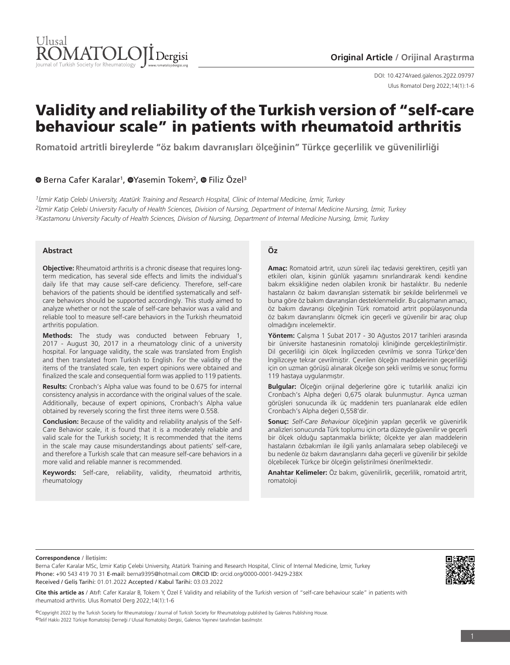

DOI: 10.4274/raed.galenos.2022.09797 Ulus Romatol Derg 2022;14(1):1-6

# Validity and reliability of the Turkish version of "self-care behaviour scale" in patients with rheumatoid arthritis

**Romatoid artritli bireylerde "öz bakım davranışları ölçeğinin" Türkçe geçerlilik ve güvenilirliği**

# **O**Berna Cafer Karalar<sup>1</sup>, <sup>O</sup>Yasemin Tokem<sup>2</sup>, <sup>O</sup> Filiz Özel<sup>3</sup>

*1İzmir Katip Çelebi University, Atatürk Training and Research Hospital, Clinic of Internal Medicine, İzmir, Turkey 2İzmir Katip Çelebi University Faculty of Health Sciences, Division of Nursing, Department of Internal Medicine Nursing, İzmir, Turkey 3Kastamonu University Faculty of Health Sciences, Division of Nursing, Department of Internal Medicine Nursing, İzmir, Turkey*

#### **Abstract**

**Objective:** Rheumatoid arthritis is a chronic disease that requires longterm medication, has several side effects and limits the individual's daily life that may cause self-care deficiency. Therefore, self-care behaviors of the patients should be identified systematically and selfcare behaviors should be supported accordingly. This study aimed to analyze whether or not the scale of self-care behavior was a valid and reliable tool to measure self-care behaviors in the Turkish rheumatoid arthritis population.

**Methods:** The study was conducted between February 1, 2017 - August 30, 2017 in a rheumatology clinic of a university hospital. For language validity, the scale was translated from English and then translated from Turkish to English. For the validity of the items of the translated scale, ten expert opinions were obtained and finalized the scale and consequential form was applied to 119 patients.

**Results:** Cronbach's Alpha value was found to be 0.675 for internal consistency analysis in accordance with the original values of the scale. Additionally, because of expert opinions, Cronbach's Alpha value obtained by reversely scoring the first three items were 0.558.

**Conclusion:** Because of the validity and reliability analysis of the Self-Care Behavior scale, it is found that it is a moderately reliable and valid scale for the Turkish society; It is recommended that the items in the scale may cause misunderstandings about patients' self-care, and therefore a Turkish scale that can measure self-care behaviors in a more valid and reliable manner is recommended.

**Keywords:** Self-care, reliability, validity, rheumatoid arthritis, rheumatology

## **Öz**

**Amaç:** Romatoid artrit, uzun süreli ilaç tedavisi gerektiren, çeşitli yan etkileri olan, kişinin günlük yaşamını sınırlandırarak kendi kendine bakım eksikliğine neden olabilen kronik bir hastalıktır. Bu nedenle hastaların öz bakım davranışları sistematik bir şekilde belirlenmeli ve buna göre öz bakım davranışları desteklenmelidir. Bu çalışmanın amacı, öz bakım davranışı ölçeğinin Türk romatoid artrit popülasyonunda öz bakım davranışlarını ölçmek için geçerli ve güvenilir bir araç olup olmadığını incelemektir.

**Yöntem:** Çalışma 1 Şubat 2017 - 30 Ağustos 2017 tarihleri arasında bir üniversite hastanesinin romatoloji kliniğinde gerçekleştirilmiştir. Dil geçerliliği için ölçek İngilizceden çevrilmiş ve sonra Türkçe'den İngilizceye tekrar çevrilmiştir. Çevrilen ölçeğin maddelerinin geçerliliği için on uzman görüşü alınarak ölçeğe son şekli verilmiş ve sonuç formu 119 hastaya uygulanmıştır.

**Bulgular:** Ölçeğin orijinal değerlerine göre iç tutarlılık analizi için Cronbach's Alpha değeri 0,675 olarak bulunmuştur. Ayrıca uzman görüşleri sonucunda ilk üç maddenin ters puanlanarak elde edilen Cronbach's Alpha değeri 0,558'dir.

**Sonuç:** *Self-Care Behaviour* ölçeğinin yapılan geçerlik ve güvenirlik analizleri sonucunda Türk toplumu için orta düzeyde güvenilir ve geçerli bir ölçek olduğu saptanmakla birlikte; ölçekte yer alan maddelerin hastaların özbakımları ile ilgili yanlış anlamalara sebep olabileceği ve bu nedenle öz bakım davranışlarını daha geçerli ve güvenilir bir şekilde ölçebilecek Türkçe bir ölçeğin geliştirilmesi önerilmektedir.

**Anahtar Kelimeler:** Öz bakım, güvenilirlik, geçerlilik, romatoid artrit, romatoloji

#### **Correspondence / İletişim:**

Berna Cafer Karalar MSc, İzmir Katip Çelebi University, Atatürk Training and Research Hospital, Clinic of Internal Medicine, İzmir, Turkey Phone: +90 543 419 70 31 E-mail: berna9395@hotmail.com ORCID ID: orcid.org/0000-0001-9429-238X Received / Geliş Tarihi: 01.01.2022 Accepted / Kabul Tarihi: 03.03.2022



©Copyright 2022 by the Turkish Society for Rheumatology / Journal of Turkish Society for Rheumatology published by Galenos Publishing House. ©Telif Hakkı 2022 Türkiye Romatoloji Derneği / Ulusal Romatoloji Dergisi, Galenos Yayınevi tarafından basılmıştır.

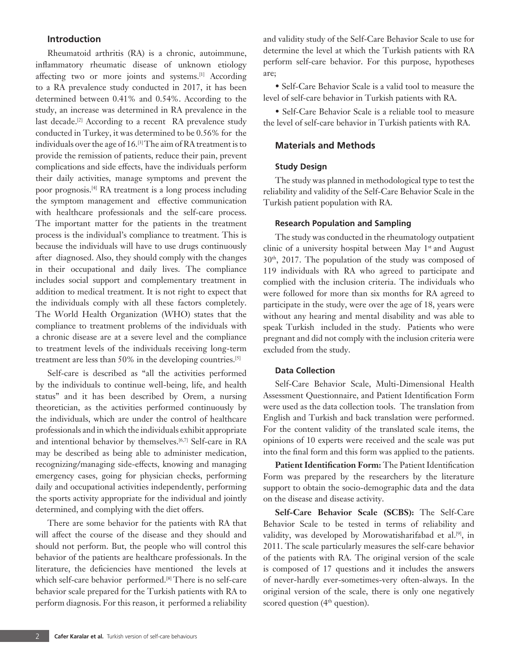# **Introduction**

Rheumatoid arthritis (RA) is a chronic, autoimmune, inflammatory rheumatic disease of unknown etiology affecting two or more joints and systems.<sup>[1]</sup> According to a RA prevalence study conducted in 2017, it has been determined between 0.41% and 0.54%. According to the study, an increase was determined in RA prevalence in the last decade.<sup>[2]</sup> According to a recent RA prevalence study conducted in Turkey, it was determined to be 0.56% for the individuals over the age of 16.[3] The aim of RA treatment is to provide the remission of patients, reduce their pain, prevent complications and side effects, have the individuals perform their daily activities, manage symptoms and prevent the poor prognosis.[4] RA treatment is a long process including the symptom management and effective communication with healthcare professionals and the self-care process. The important matter for the patients in the treatment process is the individual's compliance to treatment. This is because the individuals will have to use drugs continuously after diagnosed. Also, they should comply with the changes in their occupational and daily lives. The compliance includes social support and complementary treatment in addition to medical treatment. It is not right to expect that the individuals comply with all these factors completely. The World Health Organization (WHO) states that the compliance to treatment problems of the individuals with a chronic disease are at a severe level and the compliance to treatment levels of the individuals receiving long-term treatment are less than 50% in the developing countries.[5]

Self-care is described as "all the activities performed by the individuals to continue well-being, life, and health status" and it has been described by Orem, a nursing theoretician, as the activities performed continuously by the individuals, which are under the control of healthcare professionals and in which the individuals exhibit appropriate and intentional behavior by themselves.<sup>[6,7]</sup> Self-care in RA may be described as being able to administer medication, recognizing/managing side-effects, knowing and managing emergency cases, going for physician checks, performing daily and occupational activities independently, performing the sports activity appropriate for the individual and jointly determined, and complying with the diet offers.

There are some behavior for the patients with RA that will affect the course of the disease and they should and should not perform. But, the people who will control this behavior of the patients are healthcare professionals. In the literature, the deficiencies have mentioned the levels at which self-care behavior performed.<sup>[8]</sup> There is no self-care behavior scale prepared for the Turkish patients with RA to perform diagnosis. For this reason, it performed a reliability

and validity study of the Self-Care Behavior Scale to use for determine the level at which the Turkish patients with RA perform self-care behavior. For this purpose, hypotheses are;

• Self-Care Behavior Scale is a valid tool to measure the level of self-care behavior in Turkish patients with RA.

• Self-Care Behavior Scale is a reliable tool to measure the level of self-care behavior in Turkish patients with RA.

# **Materials and Methods**

## **Study Design**

The study was planned in methodological type to test the reliability and validity of the Self-Care Behavior Scale in the Turkish patient population with RA.

### **Research Population and Sampling**

The study was conducted in the rheumatology outpatient clinic of a university hospital between May  $1<sup>st</sup>$  and August 30th, 2017. The population of the study was composed of 119 individuals with RA who agreed to participate and complied with the inclusion criteria. The individuals who were followed for more than six months for RA agreed to participate in the study, were over the age of 18, years were without any hearing and mental disability and was able to speak Turkish included in the study. Patients who were pregnant and did not comply with the inclusion criteria were excluded from the study.

#### **Data Collection**

Self-Care Behavior Scale, Multi-Dimensional Health Assessment Questionnaire, and Patient Identification Form were used as the data collection tools. The translation from English and Turkish and back translation were performed. For the content validity of the translated scale items, the opinions of 10 experts were received and the scale was put into the final form and this form was applied to the patients.

**Patient Identification Form:** The Patient Identification Form was prepared by the researchers by the literature support to obtain the socio-demographic data and the data on the disease and disease activity.

**Self-Care Behavior Scale (SCBS):** The Self-Care Behavior Scale to be tested in terms of reliability and validity, was developed by Morowatisharifabad et al.<sup>[9]</sup>, in 2011. The scale particularly measures the self-care behavior of the patients with RA. The original version of the scale is composed of 17 questions and it includes the answers of never-hardly ever-sometimes-very often-always. In the original version of the scale, there is only one negatively scored question (4<sup>th</sup> question).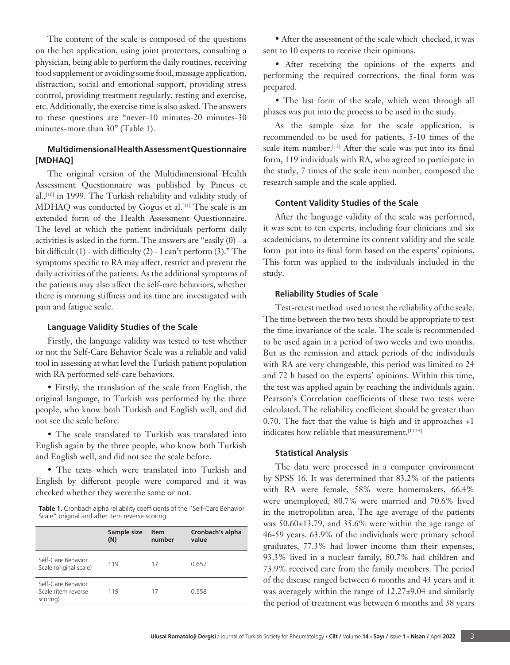The content of the scale is composed of the questions on the hot application, using joint protectors, consulting a physician, being able to perform the daily routines, receiving food supplement or avoiding some food, massage application, distraction, social and emotional support, providing stress control, providing treatment regularly, resting and exercise, etc. Additionally, the exercise time is also asked. The answers to these questions are "never-10 minutes-20 minutes-30 minutes-more than 30" (Table 1).

# **Multidimensional Health Assessment Questionnaire [MDHAQ]**

The original version of the Multidimensional Health Assessment Questionnaire was published by Pincus et al.,<sup>[10]</sup> in 1999. The Turkish reliability and validity study of MDHAQ was conducted by Gogus et al.<sup>[11]</sup> The scale is an extended form of the Health Assessment Questionnaire. The level at which the patient individuals perform daily activities is asked in the form. The answers are "easily (0) - a bit difficult (1) - with difficulty (2) - I can't perform (3)." The symptoms specific to RA may affect, restrict and prevent the daily activities of the patients. As the additional symptoms of the patients may also affect the self-care behaviors, whether there is morning stiffness and its time are investigated with pain and fatigue scale.

#### **Language Validity Studies of the Scale**

Firstly, the language validity was tested to test whether or not the Self-Care Behavior Scale was a reliable and valid tool in assessing at what level the Turkish patient population with RA performed self-care behaviors.

• Firstly, the translation of the scale from English, the original language, to Turkish was performed by the three people, who know both Turkish and English well, and did not see the scale before.

• The scale translated to Turkish was translated into English again by the three people, who know both Turkish and English well, and did not see the scale before.

• The texts which were translated into Turkish and English by different people were compared and it was checked whether they were the same or not.

**Table 1.** Cronbach alpha reliability coefficients of the "Self-Care Behavior Scale" original and after item reverse scoring

|                                                       | Sample size<br>(N) | <b>Item</b><br>number | Cronbach's alpha<br>value |  |
|-------------------------------------------------------|--------------------|-----------------------|---------------------------|--|
| Self-Care Behavior<br>Scale (original scale)          | 119                | 17                    | 0.657                     |  |
| Self-Care Behavior<br>Scale (item reverse<br>scoring) | 119                | 17                    | 0.558                     |  |

• After the assessment of the scale which checked, it was sent to 10 experts to receive their opinions.

• After receiving the opinions of the experts and performing the required corrections, the final form was prepared.

• The last form of the scale, which went through all phases was put into the process to be used in the study.

As the sample size for the scale application, is recommended to be used for patients, 5-10 times of the scale item number.<sup>[12]</sup> After the scale was put into its final form, 119 individuals with RA, who agreed to participate in the study, 7 times of the scale item number, composed the research sample and the scale applied.

# **Content Validity Studies of the Scale**

After the language validity of the scale was performed, it was sent to ten experts, including four clinicians and six academicians, to determine its content validity and the scale form put into its final form based on the experts' opinions. This form was applied to the individuals included in the study.

#### **Reliability Studies of Scale**

Test-retest method used to test the reliability of the scale. The time between the two tests should be appropriate to test the time invariance of the scale. The scale is recommended to be used again in a period of two weeks and two months. But as the remission and attack periods of the individuals with RA are very changeable, this period was limited to 24 and 72 h based on the experts' opinions. Within this time, the test was applied again by reaching the individuals again. Pearson's Correlation coefficients of these two tests were calculated. The reliability coefficient should be greater than 0.70. The fact that the value is high and it approaches +1 indicates how reliable that measurement.<sup>[13,14]</sup>

## **Statistical Analysis**

The data were processed in a computer environment by SPSS 16. It was determined that 83.2% of the patients with RA were female, 58% were homemakers, 66.4% were unemployed, 80.7% were married and 70.6% lived in the metropolitan area. The age average of the patients was 50.60±13.79, and 35.6% were within the age range of 46-59 years. 63.9% of the individuals were primary school graduates, 77.3% had lower income than their expenses, 93.3% lived in a nuclear family, 80.7% had children and 73.9% received care from the family members. The period of the disease ranged between 6 months and 43 years and it was averagely within the range of 12.27±9.04 and similarly the period of treatment was between 6 months and 38 years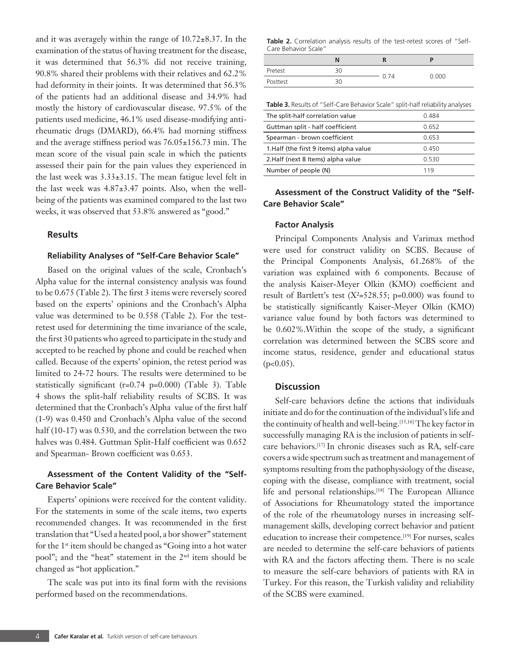and it was averagely within the range of  $10.72 \pm 8.37$ . In the examination of the status of having treatment for the disease, it was determined that 56.3% did not receive training, 90.8% shared their problems with their relatives and 62.2% had deformity in their joints. It was determined that 56.3% of the patients had an additional disease and 34.9% had mostly the history of cardiovascular disease. 97.5% of the patients used medicine, 46.1% used disease-modifying antirheumatic drugs (DMARD), 66.4% had morning stiffness and the average stiffness period was 76.05±156.73 min. The mean score of the visual pain scale in which the patients assessed their pain for the pain values they experienced in the last week was  $3.33\pm3.15$ . The mean fatigue level felt in the last week was 4.87±3.47 points. Also, when the wellbeing of the patients was examined compared to the last two weeks, it was observed that 53.8% answered as "good."

# **Results**

# **Reliability Analyses of "Self-Care Behavior Scale"**

Based on the original values of the scale, Cronbach's Alpha value for the internal consistency analysis was found to be 0.675 (Table 2). The first 3 items were reversely scored based on the experts' opinions and the Cronbach's Alpha value was determined to be 0.558 (Table 2). For the testretest used for determining the time invariance of the scale, the first 30 patients who agreed to participate in the study and accepted to be reached by phone and could be reached when called. Because of the experts' opinion, the retest period was limited to 24-72 hours. The results were determined to be statistically significant (r=0.74 p=0.000) (Table 3). Table 4 shows the split-half reliability results of SCBS. It was determined that the Cronbach's Alpha value of the first half (1-9) was 0.450 and Cronbach's Alpha value of the second half (10-17) was 0.530, and the correlation between the two halves was 0.484. Guttman Split-Half coefficient was 0.652 and Spearman- Brown coefficient was 0.653.

# **Assessment of the Content Validity of the "Self-Care Behavior Scale"**

Experts' opinions were received for the content validity. For the statements in some of the scale items, two experts recommended changes. It was recommended in the first translation that "Used a heated pool, a bor shower" statement for the 1<sup>st</sup> item should be changed as "Going into a hot water pool"; and the "heat" statement in the 2<sup>nd</sup> item should be changed as "hot application."

The scale was put into its final form with the revisions performed based on the recommendations.

**Table 2.** Correlation analysis results of the test-retest scores of "Self-Care Behavior Scale"

|          | N  |      |       |
|----------|----|------|-------|
| Pretest  | 30 | 0.74 | 0.000 |
| Posttest | ヨハ |      |       |

| Table 3. Results of "Self-Care Behavior Scale" split-half reliability analyses |       |  |  |  |  |  |
|--------------------------------------------------------------------------------|-------|--|--|--|--|--|
| The split-half correlation value                                               | 0.484 |  |  |  |  |  |
| Guttman split - half coefficient                                               | 0.652 |  |  |  |  |  |
| Spearman - brown coefficient                                                   | 0.653 |  |  |  |  |  |
| 1. Half (the first 9 items) alpha value                                        | 0.450 |  |  |  |  |  |
| 2.Half (next 8 Items) alpha value                                              | 0.530 |  |  |  |  |  |
| Number of people (N)                                                           | 119   |  |  |  |  |  |
|                                                                                |       |  |  |  |  |  |

# **Assessment of the Construct Validity of the "Self-Care Behavior Scale"**

## **Factor Analysis**

Principal Components Analysis and Varimax method were used for construct validity on SCBS. Because of the Principal Components Analysis, 61.268% of the variation was explained with 6 components. Because of the analysis Kaiser-Meyer Olkin (KMO) coefficient and result of Bartlett's test  $(X^2=528.55; p=0.000)$  was found to be statistically significantly Kaiser-Meyer Olkin (KMO) variance value found by both factors was determined to be 0.602%.Within the scope of the study, a significant correlation was determined between the SCBS score and income status, residence, gender and educational status  $(p<0.05)$ .

## **Discussion**

Self-care behaviors define the actions that individuals initiate and do for the continuation of the individual's life and the continuity of health and well-being.<sup>[15,16]</sup> The key factor in successfully managing RA is the inclusion of patients in selfcare behaviors.[17] In chronic diseases such as RA, self-care covers a wide spectrum such as treatment and management of symptoms resulting from the pathophysiology of the disease, coping with the disease, compliance with treatment, social life and personal relationships.<sup>[18]</sup> The European Alliance of Associations for Rheumatology stated the importance of the role of the rheumatology nurses in increasing selfmanagement skills, developing correct behavior and patient education to increase their competence.[19] For nurses, scales are needed to determine the self-care behaviors of patients with RA and the factors affecting them. There is no scale to measure the self-care behaviors of patients with RA in Turkey. For this reason, the Turkish validity and reliability of the SCBS were examined.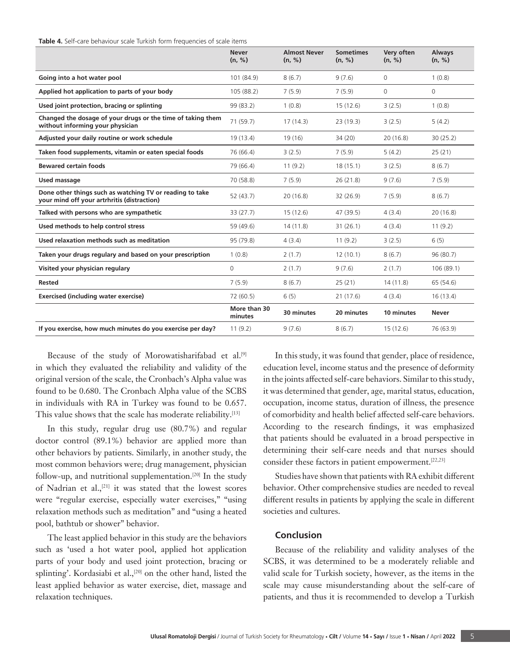**Table 4.** Self-care behaviour scale Turkish form frequencies of scale items

|                                                                                                         | <b>Never</b><br>(n, %)  | <b>Almost Never</b><br>(n, %) | <b>Sometimes</b><br>(n, %) | Very often<br>(n, %) | <b>Always</b><br>(n, %) |
|---------------------------------------------------------------------------------------------------------|-------------------------|-------------------------------|----------------------------|----------------------|-------------------------|
| Going into a hot water pool                                                                             | 101 (84.9)              | 8(6.7)                        | 9(7.6)                     | 0                    | 1(0.8)                  |
| Applied hot application to parts of your body                                                           | 105 (88.2)              | 7(5.9)                        | 7(5.9)                     | $\Omega$             | 0                       |
| Used joint protection, bracing or splinting                                                             | 99 (83.2)               | 1(0.8)                        | 15(12.6)                   | 3(2.5)               | 1(0.8)                  |
| Changed the dosage of your drugs or the time of taking them<br>without informing your physician         | 71(59.7)                | 17(14.3)                      | 23(19.3)                   | 3(2.5)               | 5(4.2)                  |
| Adjusted your daily routine or work schedule                                                            | 19 (13.4)               | 19(16)                        | 34 (20)                    | 20(16.8)             | 30(25.2)                |
| Taken food supplements, vitamin or eaten special foods                                                  | 76 (66.4)               | 3(2.5)                        | 7(5.9)                     | 5(4.2)               | 25(21)                  |
| <b>Bewared certain foods</b>                                                                            | 79 (66.4)               | 11(9.2)                       | 18(15.1)                   | 3(2.5)               | 8(6.7)                  |
| Used massage                                                                                            | 70 (58.8)               | 7(5.9)                        | 26(21.8)                   | 9(7.6)               | 7(5.9)                  |
| Done other things such as watching TV or reading to take<br>your mind off your artrhritis (distraction) | 52(43.7)                | 20(16.8)                      | 32(26.9)                   | 7(5.9)               | 8(6.7)                  |
| Talked with persons who are sympathetic                                                                 | 33(27.7)                | 15(12.6)                      | 47 (39.5)                  | 4(3.4)               | 20(16.8)                |
| Used methods to help control stress                                                                     | 59 (49.6)               | 14(11.8)                      | 31(26.1)                   | 4(3.4)               | 11(9.2)                 |
| Used relaxation methods such as meditation                                                              | 95 (79.8)               | 4(3.4)                        | 11(9.2)                    | 3(2.5)               | 6(5)                    |
| Taken your drugs regulary and based on your prescription                                                | 1(0.8)                  | 2(1.7)                        | 12(10.1)                   | 8(6.7)               | 96 (80.7)               |
| Visited your physician regulary                                                                         | $\mathbf 0$             | 2(1.7)                        | 9(7.6)                     | 2(1.7)               | 106 (89.1)              |
| <b>Rested</b>                                                                                           | 7(5.9)                  | 8(6.7)                        | 25(21)                     | 14(11.8)             | 65 (54.6)               |
| <b>Exercised (including water exercise)</b>                                                             | 72 (60.5)               | 6(5)                          | 21(17.6)                   | 4(3.4)               | 16(13.4)                |
|                                                                                                         | More than 30<br>minutes | 30 minutes                    | 20 minutes                 | 10 minutes           | Never                   |
| If you exercise, how much minutes do you exercise per day?                                              | 11(9.2)                 | 9(7.6)                        | 8(6.7)                     | 15(12.6)             | 76 (63.9)               |

Because of the study of Morowatisharifabad et al.[9] in which they evaluated the reliability and validity of the original version of the scale, the Cronbach's Alpha value was found to be 0.680. The Cronbach Alpha value of the SCBS in individuals with RA in Turkey was found to be 0.657. This value shows that the scale has moderate reliability.<sup>[13]</sup>

In this study, regular drug use (80.7%) and regular doctor control (89.1%) behavior are applied more than other behaviors by patients. Similarly, in another study, the most common behaviors were; drug management, physician follow-up, and nutritional supplementation.<sup>[20]</sup> In the study of Nadrian et al.,<sup>[21]</sup> it was stated that the lowest scores were "regular exercise, especially water exercises," "using relaxation methods such as meditation" and "using a heated pool, bathtub or shower" behavior.

The least applied behavior in this study are the behaviors such as 'used a hot water pool, applied hot application parts of your body and used joint protection, bracing or splinting'. Kordasiabi et al.,<sup>[20]</sup> on the other hand, listed the least applied behavior as water exercise, diet, massage and relaxation techniques.

In this study, it was found that gender, place of residence, education level, income status and the presence of deformity in the joints affected self-care behaviors. Similar to this study, it was determined that gender, age, marital status, education, occupation, income status, duration of illness, the presence of comorbidity and health belief affected self-care behaviors. According to the research findings, it was emphasized that patients should be evaluated in a broad perspective in determining their self-care needs and that nurses should consider these factors in patient empowerment.<sup>[22,23]</sup>

Studies have shown that patients with RA exhibit different behavior. Other comprehensive studies are needed to reveal different results in patients by applying the scale in different societies and cultures.

# **Conclusion**

Because of the reliability and validity analyses of the SCBS, it was determined to be a moderately reliable and valid scale for Turkish society, however, as the items in the scale may cause misunderstanding about the self-care of patients, and thus it is recommended to develop a Turkish